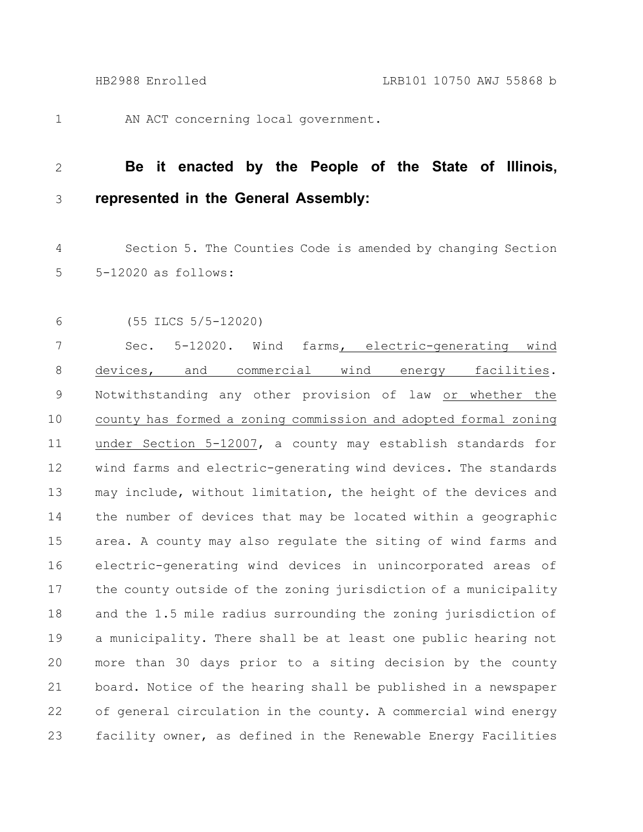1

AN ACT concerning local government.

## **Be it enacted by the People of the State of Illinois, represented in the General Assembly:** 2 3

Section 5. The Counties Code is amended by changing Section 5-12020 as follows: 4 5

6

(55 ILCS 5/5-12020)

Sec. 5-12020. Wind farms, electric-generating wind devices, and commercial wind energy facilities. Notwithstanding any other provision of law or whether the county has formed a zoning commission and adopted formal zoning under Section 5-12007, a county may establish standards for wind farms and electric-generating wind devices. The standards may include, without limitation, the height of the devices and the number of devices that may be located within a geographic area. A county may also regulate the siting of wind farms and electric-generating wind devices in unincorporated areas of the county outside of the zoning jurisdiction of a municipality and the 1.5 mile radius surrounding the zoning jurisdiction of a municipality. There shall be at least one public hearing not more than 30 days prior to a siting decision by the county board. Notice of the hearing shall be published in a newspaper of general circulation in the county. A commercial wind energy facility owner, as defined in the Renewable Energy Facilities 7 8 9 10 11 12 13 14 15 16 17 18 19 20 21 22 23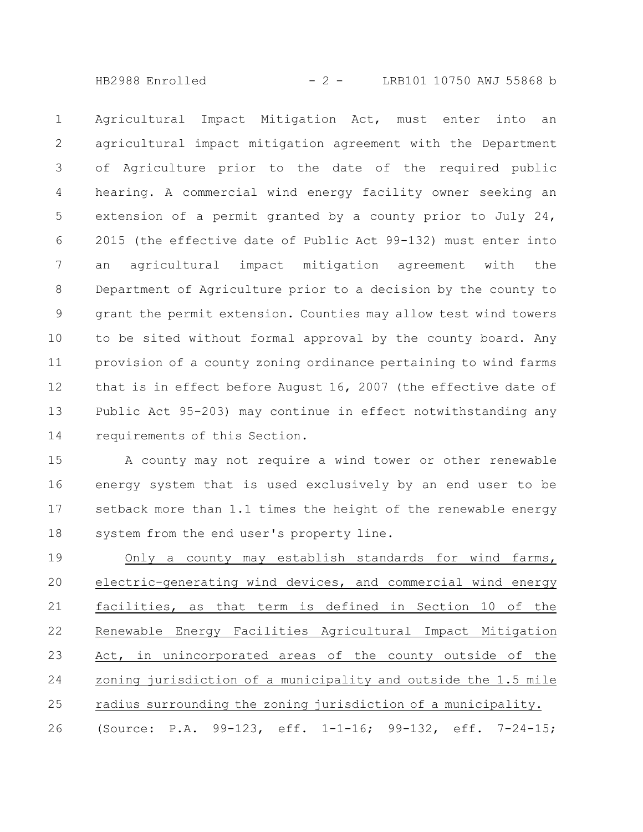HB2988 Enrolled - 2 - LRB101 10750 AWJ 55868 b

Agricultural Impact Mitigation Act, must enter into an agricultural impact mitigation agreement with the Department of Agriculture prior to the date of the required public hearing. A commercial wind energy facility owner seeking an extension of a permit granted by a county prior to July 24, 2015 (the effective date of Public Act 99-132) must enter into an agricultural impact mitigation agreement with the Department of Agriculture prior to a decision by the county to grant the permit extension. Counties may allow test wind towers to be sited without formal approval by the county board. Any provision of a county zoning ordinance pertaining to wind farms that is in effect before August 16, 2007 (the effective date of Public Act 95-203) may continue in effect notwithstanding any requirements of this Section. 1 2 3 4 5 6 7 8 9 10 11 12 13 14

A county may not require a wind tower or other renewable energy system that is used exclusively by an end user to be setback more than 1.1 times the height of the renewable energy system from the end user's property line. 15 16 17 18

Only a county may establish standards for wind farms, electric-generating wind devices, and commercial wind energy facilities, as that term is defined in Section 10 of the Renewable Energy Facilities Agricultural Impact Mitigation Act, in unincorporated areas of the county outside of the zoning jurisdiction of a municipality and outside the 1.5 mile radius surrounding the zoning jurisdiction of a municipality. (Source: P.A. 99-123, eff. 1-1-16; 99-132, eff. 7-24-15; 19 20 21 22 23 24 25 26